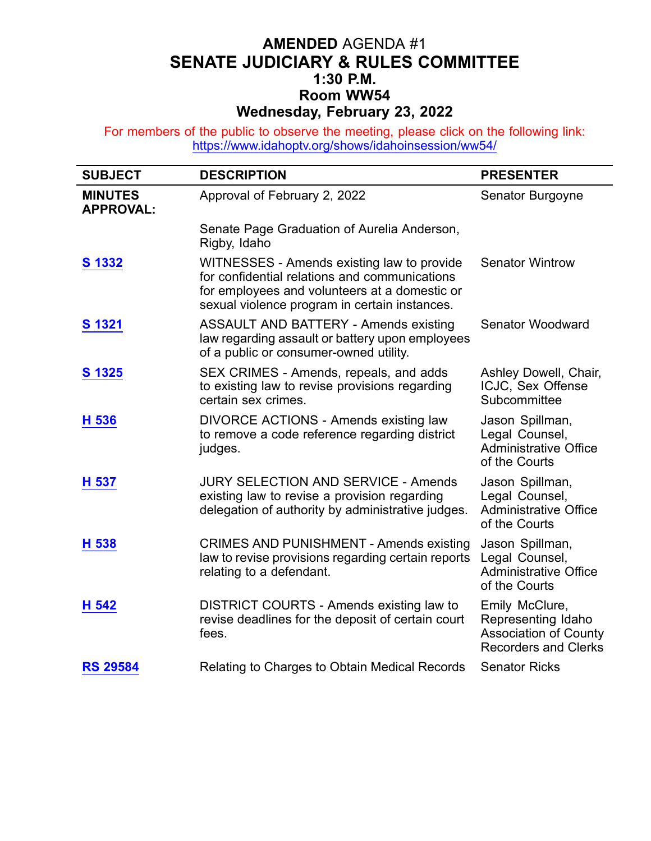## **AMENDED** AGENDA #1 **SENATE JUDICIARY & RULES COMMITTEE 1:30 P.M. Room WW54 Wednesday, February 23, 2022**

For members of the public to observe the meeting, please click on the following link: <https://www.idahoptv.org/shows/idahoinsession/ww54/>

| <b>SUBJECT</b>                     | <b>DESCRIPTION</b>                                                                                                                                                                            | <b>PRESENTER</b>                                                                                    |
|------------------------------------|-----------------------------------------------------------------------------------------------------------------------------------------------------------------------------------------------|-----------------------------------------------------------------------------------------------------|
| <b>MINUTES</b><br><b>APPROVAL:</b> | Approval of February 2, 2022                                                                                                                                                                  | Senator Burgoyne                                                                                    |
|                                    | Senate Page Graduation of Aurelia Anderson,<br>Rigby, Idaho                                                                                                                                   |                                                                                                     |
| S 1332                             | WITNESSES - Amends existing law to provide<br>for confidential relations and communications<br>for employees and volunteers at a domestic or<br>sexual violence program in certain instances. | <b>Senator Wintrow</b>                                                                              |
| S 1321                             | <b>ASSAULT AND BATTERY - Amends existing</b><br>law regarding assault or battery upon employees<br>of a public or consumer-owned utility.                                                     | <b>Senator Woodward</b>                                                                             |
| S 1325                             | SEX CRIMES - Amends, repeals, and adds<br>to existing law to revise provisions regarding<br>certain sex crimes.                                                                               | Ashley Dowell, Chair,<br>ICJC, Sex Offense<br>Subcommittee                                          |
| H 536                              | <b>DIVORCE ACTIONS - Amends existing law</b><br>to remove a code reference regarding district<br>judges.                                                                                      | Jason Spillman,<br>Legal Counsel,<br><b>Administrative Office</b><br>of the Courts                  |
| H 537                              | <b>JURY SELECTION AND SERVICE - Amends</b><br>existing law to revise a provision regarding<br>delegation of authority by administrative judges.                                               | Jason Spillman,<br>Legal Counsel,<br><b>Administrative Office</b><br>of the Courts                  |
| H 538                              | <b>CRIMES AND PUNISHMENT - Amends existing</b><br>law to revise provisions regarding certain reports<br>relating to a defendant.                                                              | Jason Spillman,<br>Legal Counsel,<br><b>Administrative Office</b><br>of the Courts                  |
| H 542                              | DISTRICT COURTS - Amends existing law to<br>revise deadlines for the deposit of certain court<br>fees.                                                                                        | Emily McClure,<br>Representing Idaho<br><b>Association of County</b><br><b>Recorders and Clerks</b> |
| <b>RS 29584</b>                    | Relating to Charges to Obtain Medical Records                                                                                                                                                 | <b>Senator Ricks</b>                                                                                |